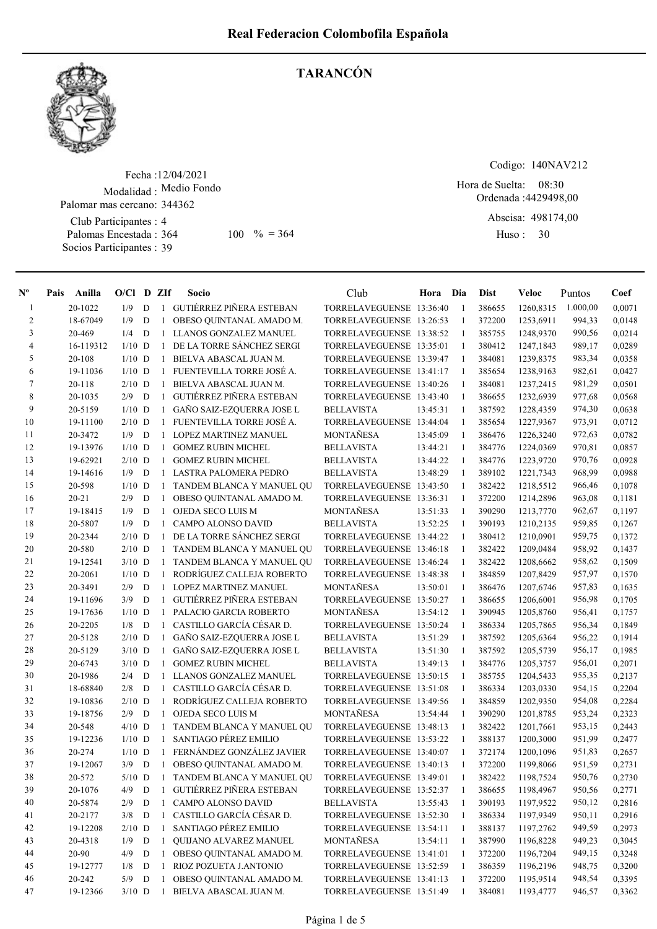

## TARANCÓN

Fecha : 12/04/2021 Modalidad : Medio Fondo Club Participantes : 4 Palomas Encestada : Socios Participantes : 39 Palomar mas cercano: 344362 364 100 % = 364 Huso: 30

Codigo: 140NAV212

Ordenada : 4429498,00 Abscisa: 498174,00 Hora de Suelta: 08:30

Huso: 30

| $N^{\circ}$    | Pais | Anilla    | $O/Cl$ D ZIf |             |              | Socio                                              | Club                     | Hora Dia |                | <b>Dist</b> | Veloc     | Puntos   | Coef   |
|----------------|------|-----------|--------------|-------------|--------------|----------------------------------------------------|--------------------------|----------|----------------|-------------|-----------|----------|--------|
| 1              |      | 20-1022   | 1/9          | D           |              | 1 GUTIÉRREZ PIÑERA ESTEBAN                         | TORRELAVEGUENSE 13:36:40 |          | $\mathbf{1}$   | 386655      | 1260,8315 | 1.000,00 | 0,0071 |
| 2              |      | 18-67049  | 1/9          | D           | 1            | OBESO QUINTANAL AMADO M.                           | TORRELAVEGUENSE 13:26:53 |          | $\mathbf{1}$   | 372200      | 1253.6911 | 994,33   | 0,0148 |
| 3              |      | 20-469    | 1/4          | D           | $\mathbf{1}$ | LLANOS GONZALEZ MANUEL                             | TORRELAVEGUENSE 13:38:52 |          | $\mathbf{1}$   | 385755      | 1248,9370 | 990,56   | 0,0214 |
| $\overline{4}$ |      | 16-119312 | $1/10$ D     |             | $\mathbf{1}$ | DE LA TORRE SÁNCHEZ SERGI                          | TORRELAVEGUENSE 13:35:01 |          | $\overline{1}$ | 380412      | 1247,1843 | 989,17   | 0,0289 |
| 5              |      | 20-108    | $1/10$ D     |             | $\mathbf{1}$ | BIELVA ABASCAL JUAN M.                             | TORRELAVEGUENSE 13:39:47 |          | $\overline{1}$ | 384081      | 1239,8375 | 983,34   | 0,0358 |
| 6              |      | 19-11036  | $1/10$ D     |             | $\mathbf{1}$ | FUENTEVILLA TORRE JOSÉ A.                          | TORRELAVEGUENSE 13:41:17 |          | $\mathbf{1}$   | 385654      | 1238,9163 | 982,61   | 0,0427 |
| 7              |      | 20-118    | $2/10$ D     |             | $\mathbf{1}$ | BIELVA ABASCAL JUAN M.                             | TORRELAVEGUENSE 13:40:26 |          | 1              | 384081      | 1237,2415 | 981,29   | 0,0501 |
| 8              |      | 20-1035   | 2/9          | D           | $\mathbf{1}$ | GUTIÉRREZ PIÑERA ESTEBAN                           | TORRELAVEGUENSE 13:43:40 |          | 1              | 386655      | 1232,6939 | 977,68   | 0,0568 |
| 9              |      | 20-5159   | $1/10$ D     |             | 1            | GAÑO SAIZ-EZQUERRA JOSE L                          | <b>BELLAVISTA</b>        | 13:45:31 | -1             | 387592      | 1228,4359 | 974,30   | 0,0638 |
| 10             |      | 19-11100  | $2/10$ D     |             | $\mathbf{1}$ | FUENTEVILLA TORRE JOSÉ A.                          | TORRELAVEGUENSE 13:44:04 |          | $\mathbf{1}$   | 385654      | 1227,9367 | 973,91   | 0,0712 |
| 11             |      | 20-3472   | 1/9          | D           | $\mathbf{1}$ | LOPEZ MARTINEZ MANUEL                              | <b>MONTAÑESA</b>         | 13:45:09 | 1              | 386476      | 1226,3240 | 972,63   | 0,0782 |
| 12             |      | 19-13976  | $1/10$ D     |             | $\mathbf{1}$ | <b>GOMEZ RUBIN MICHEL</b>                          | <b>BELLAVISTA</b>        | 13:44:21 | -1             | 384776      | 1224,0369 | 970,81   | 0,0857 |
| 13             |      | 19-62921  | $2/10$ D     |             | $\mathbf{1}$ | <b>GOMEZ RUBIN MICHEL</b>                          | <b>BELLAVISTA</b>        | 13:44:22 | -1             | 384776      | 1223,9720 | 970,76   | 0,0928 |
| 14             |      | 19-14616  | 1/9          | D           | $\mathbf{1}$ | LASTRA PALOMERA PEDRO                              | <b>BELLAVISTA</b>        | 13:48:29 | -1             | 389102      | 1221,7343 | 968,99   | 0,0988 |
| 15             |      | 20-598    | $1/10$ D     |             | $\mathbf{1}$ | TANDEM BLANCA Y MANUEL QU                          | TORRELAVEGUENSE 13:43:50 |          | $\mathbf{1}$   | 382422      | 1218,5512 | 966,46   | 0,1078 |
| 16             |      | $20 - 21$ | 2/9          | D           | $\mathbf{1}$ | OBESO QUINTANAL AMADO M.                           | TORRELAVEGUENSE 13:36:31 |          | -1             | 372200      | 1214,2896 | 963,08   | 0,1181 |
| 17             |      | 19-18415  | 1/9          | D           | $\mathbf{1}$ | OJEDA SECO LUIS M                                  | <b>MONTAÑESA</b>         | 13:51:33 | $\mathbf{1}$   | 390290      | 1213,7770 | 962,67   | 0,1197 |
| 18             |      | 20-5807   | 1/9          | D           | $\mathbf{1}$ | <b>CAMPO ALONSO DAVID</b>                          | <b>BELLAVISTA</b>        | 13:52:25 | -1             | 390193      | 1210,2135 | 959,85   | 0,1267 |
| 19             |      | 20-2344   | $2/10$ D     |             | $\mathbf{1}$ | DE LA TORRE SÁNCHEZ SERGI                          | TORRELAVEGUENSE 13:44:22 |          | $\mathbf{1}$   | 380412      | 1210,0901 | 959,75   | 0,1372 |
| 20             |      | 20-580    | $2/10$ D     |             | $\mathbf{1}$ | TANDEM BLANCA Y MANUEL QU                          | TORRELAVEGUENSE 13:46:18 |          | 1              | 382422      | 1209,0484 | 958,92   | 0,1437 |
| 21             |      | 19-12541  | $3/10$ D     |             | 1            | TANDEM BLANCA Y MANUEL QU                          | TORRELAVEGUENSE 13:46:24 |          | 1              | 382422      | 1208,6662 | 958,62   | 0,1509 |
| 22             |      | 20-2061   | $1/10$ D     |             | $\mathbf{1}$ | RODRÍGUEZ CALLEJA ROBERTO                          | TORRELAVEGUENSE 13:48:38 |          | $\mathbf{1}$   | 384859      | 1207,8429 | 957,97   | 0,1570 |
| 23             |      | 20-3491   | 2/9          | D           | $\mathbf{1}$ | LOPEZ MARTINEZ MANUEL                              | <b>MONTAÑESA</b>         | 13:50:01 | -1             | 386476      | 1207,6746 | 957,83   | 0,1635 |
| 24             |      | 19-11696  | 3/9          | D           | $\mathbf{1}$ | GUTIÉRREZ PIÑERA ESTEBAN                           | TORRELAVEGUENSE 13:50:27 |          | 1              | 386655      | 1206,6001 | 956,98   | 0,1705 |
| 25             |      | 19-17636  | $1/10$ D     |             | $\mathbf{1}$ | PALACIO GARCIA ROBERTO                             | <b>MONTAÑESA</b>         | 13:54:12 | $\mathbf{1}$   | 390945      | 1205,8760 | 956,41   | 0,1757 |
| 26             |      | 20-2205   | 1/8          | D           | $\mathbf{1}$ | CASTILLO GARCÍA CÉSAR D.                           | TORRELAVEGUENSE 13:50:24 |          | 1              | 386334      | 1205,7865 | 956,34   | 0,1849 |
| 27             |      | 20-5128   | $2/10$ D     |             | $\mathbf{1}$ | GAÑO SAIZ-EZQUERRA JOSE L                          | <b>BELLAVISTA</b>        | 13:51:29 | -1             | 387592      | 1205,6364 | 956,22   | 0,1914 |
| 28             |      | 20-5129   | $3/10$ D     |             | 1            | GAÑO SAIZ-EZQUERRA JOSE L                          | <b>BELLAVISTA</b>        | 13:51:30 | -1             | 387592      | 1205,5739 | 956,17   | 0,1985 |
| 29             |      | 20-6743   | $3/10$ D     |             | $\mathbf{1}$ | <b>GOMEZ RUBIN MICHEL</b>                          | <b>BELLAVISTA</b>        | 13:49:13 | -1             | 384776      | 1205,3757 | 956,01   | 0,2071 |
| 30             |      | 20-1986   | 2/4          | D           | $\mathbf{1}$ | LLANOS GONZALEZ MANUEL                             | TORRELAVEGUENSE 13:50:15 |          | $\mathbf{1}$   | 385755      | 1204,5433 | 955,35   | 0,2137 |
| 31             |      | 18-68840  | 2/8          | D           | $\mathbf{1}$ | CASTILLO GARCÍA CÉSAR D.                           | TORRELAVEGUENSE 13:51:08 |          | $\mathbf{1}$   | 386334      | 1203,0330 | 954,15   | 0,2204 |
| 32             |      | 19-10836  | $2/10$ D     |             | $\mathbf{1}$ | RODRÍGUEZ CALLEJA ROBERTO                          | TORRELAVEGUENSE 13:49:56 |          | 1              | 384859      | 1202,9350 | 954,08   | 0,2284 |
| 33             |      |           | 2/9          |             |              |                                                    | <b>MONTAÑESA</b>         | 13:54:44 |                |             |           |          |        |
|                |      | 19-18756  |              | D           | 1            | OJEDA SECO LUIS M                                  |                          |          | -1             | 390290      | 1201,8785 | 953,24   | 0,2323 |
| 34             |      | 20-548    | $4/10$ D     |             | -1           | TANDEM BLANCA Y MANUEL QU<br>SANTIAGO PÉREZ EMILIO | TORRELAVEGUENSE 13:48:13 |          | $\mathbf{1}$   | 382422      | 1201,7661 | 953,15   | 0,2443 |
| 35             |      | 19-12236  | $1/10$ D     |             | 1            |                                                    | TORRELAVEGUENSE 13:53:22 |          | 1              | 388137      | 1200,3000 | 951,99   | 0,2477 |
| 36             |      | 20-274    | $1/10$ D     |             | $\mathbf{1}$ | FERNÁNDEZ GONZÁLEZ JAVIER                          | TORRELAVEGUENSE 13:40:07 |          | 1              | 372174      | 1200,1096 | 951,83   | 0,2657 |
| 37             |      | 19-12067  | 3/9          | D           | 1            | OBESO QUINTANAL AMADO M.                           | TORRELAVEGUENSE 13:40:13 |          | 1              | 372200      | 1199,8066 | 951,59   | 0,2731 |
| 38             |      | 20-572    | $5/10$ D     |             |              | 1 TANDEM BLANCA Y MANUEL QU                        | TORRELAVEGUENSE 13:49:01 |          | $\mathbf{1}$   | 382422      | 1198,7524 | 950,76   | 0,2730 |
| 39             |      | 20-1076   | 4/9          | D           | 1            | GUTIÉRREZ PIÑERA ESTEBAN                           | TORRELAVEGUENSE 13:52:37 |          | 1              | 386655      | 1198,4967 | 950,56   | 0,2771 |
| 40             |      | 20-5874   | 2/9          | $\mathbf D$ | $\mathbf{1}$ | CAMPO ALONSO DAVID                                 | <b>BELLAVISTA</b>        | 13:55:43 | -1             | 390193      | 1197,9522 | 950,12   | 0,2816 |
| 41             |      | 20-2177   | 3/8          | D           | $\mathbf{1}$ | CASTILLO GARCÍA CÉSAR D.                           | TORRELAVEGUENSE 13:52:30 |          | 1              | 386334      | 1197,9349 | 950,11   | 0,2916 |
| 42             |      | 19-12208  | $2/10$ D     |             | $\mathbf{1}$ | SANTIAGO PÉREZ EMILIO                              | TORRELAVEGUENSE 13:54:11 |          | -1             | 388137      | 1197,2762 | 949,59   | 0,2973 |
| 43             |      | 20-4318   | 1/9          | D           | $\mathbf{1}$ | QUIJANO ALVAREZ MANUEL                             | MONTAÑESA                | 13:54:11 | -1             | 387990      | 1196,8228 | 949,23   | 0,3045 |
| 44             |      | 20-90     | 4/9          | D           | $\mathbf{1}$ | OBESO QUINTANAL AMADO M.                           | TORRELAVEGUENSE 13:41:01 |          | -1             | 372200      | 1196,7204 | 949,15   | 0,3248 |
| 45             |      | 19-12777  | 1/8          | D           | 1            | RIOZ POZUETA J.ANTONIO                             | TORRELAVEGUENSE 13:52:59 |          | -1             | 386359      | 1196,2196 | 948,75   | 0,3200 |
| 46             |      | 20-242    | 5/9          | D           | 1            | OBESO QUINTANAL AMADO M.                           | TORRELAVEGUENSE 13:41:13 |          | -1             | 372200      | 1195,9514 | 948,54   | 0,3395 |
| 47             |      | 19-12366  | $3/10$ D     |             | $\mathbf{1}$ | BIELVA ABASCAL JUAN M.                             | TORRELAVEGUENSE 13:51:49 |          | 1              | 384081      | 1193,4777 | 946,57   | 0,3362 |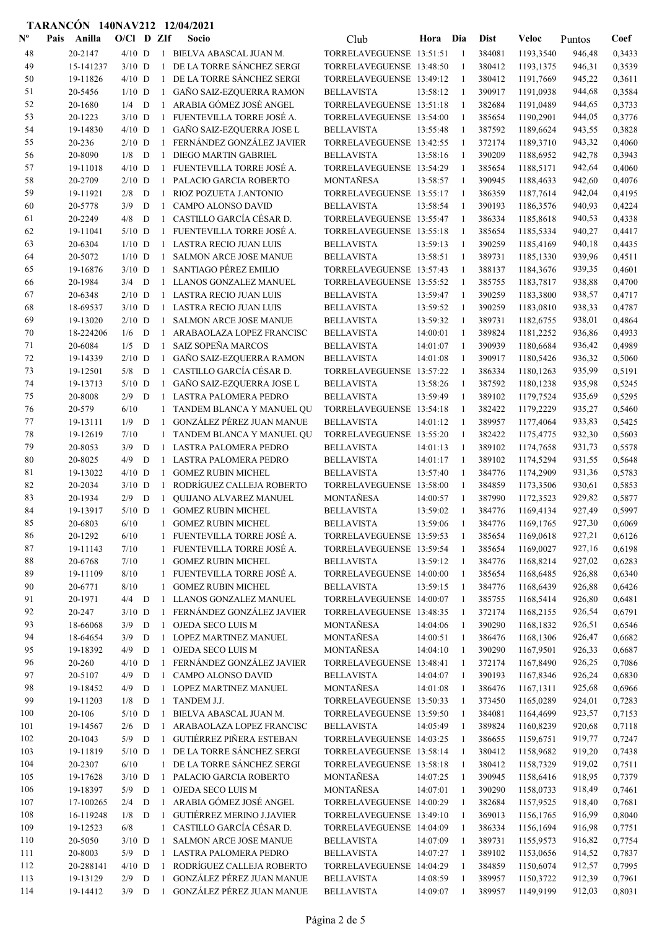| $\mathbf{N}^{\mathbf{o}}$ | Anilla<br>Pais    | $O/Cl$ D ZIf |   |                              | Socio                                              | Club                                          | Hora     | Dia                | <b>Dist</b>      | Veloc                  | Puntos           | Coef             |
|---------------------------|-------------------|--------------|---|------------------------------|----------------------------------------------------|-----------------------------------------------|----------|--------------------|------------------|------------------------|------------------|------------------|
| 48                        | 20-2147           | $4/10$ D     |   |                              | 1 BIELVA ABASCAL JUAN M.                           | TORRELAVEGUENSE 13:51:51                      |          | $\overline{1}$     | 384081           | 1193,3540              | 946,48           | 0,3433           |
| 49                        | 15-141237         | $3/10$ D     |   | $\mathbf{1}$                 | DE LA TORRE SÁNCHEZ SERGI                          | TORRELAVEGUENSE 13:48:50                      |          | $\mathbf{1}$       | 380412           | 1193,1375              | 946,31           | 0,3539           |
| 50                        | 19-11826          | $4/10$ D     |   | $\mathbf{1}$                 | DE LA TORRE SÁNCHEZ SERGI                          | TORRELAVEGUENSE 13:49:12                      |          | $\mathbf{1}$       | 380412           | 1191,7669              | 945,22           | 0,3611           |
| 51                        | 20-5456           | $1/10$ D     |   |                              | 1 GAÑO SAIZ-EZQUERRA RAMON                         | <b>BELLAVISTA</b>                             | 13:58:12 | $\mathbf{1}$       | 390917           | 1191,0938              | 944,68           | 0,3584           |
| 52                        | 20-1680           | 1/4          | D |                              | 1 ARABIA GÓMEZ JOSÉ ANGEL                          | TORRELAVEGUENSE 13:51:18                      |          | -1                 | 382684           | 1191,0489              | 944,65           | 0,3733           |
| 53                        | 20-1223           | $3/10$ D     |   | $\mathbf{1}$                 | FUENTEVILLA TORRE JOSÉ A.                          | TORRELAVEGUENSE 13:54:00                      |          | $\mathbf{1}$       | 385654           | 1190,2901              | 944,05           | 0,3776           |
| 54                        | 19-14830          | $4/10$ D     |   |                              | 1 GAÑO SAIZ-EZQUERRA JOSE L                        | <b>BELLAVISTA</b>                             | 13:55:48 | $\mathbf{1}$       | 387592           | 1189,6624              | 943,55           | 0,3828           |
| 55                        | 20-236            | $2/10$ D     |   | $\mathbf{1}$                 | FERNÁNDEZ GONZÁLEZ JAVIER                          | TORRELAVEGUENSE 13:42:55                      |          | 1                  | 372174           | 1189,3710              | 943,32           | 0,4060           |
| 56                        | 20-8090           | 1/8          | D | $\mathbf{1}$                 | <b>DIEGO MARTIN GABRIEL</b>                        | <b>BELLAVISTA</b>                             | 13:58:16 | 1                  | 390209           | 1188,6952              | 942,78           | 0,3943           |
| 57                        | 19-11018          | $4/10$ D     |   | $\mathbf{1}$                 | FUENTEVILLA TORRE JOSÉ A.                          | TORRELAVEGUENSE 13:54:29                      |          | 1                  | 385654           | 1188,5171              | 942,64           | 0,4060           |
| 58                        | 20-2709           | $2/10$ D     |   | $\mathbf{1}$                 | PALACIO GARCIA ROBERTO                             | MONTAÑESA                                     | 13:58:57 | 1                  | 390945           | 1188,4633              | 942,60           | 0,4076           |
| 59                        | 19-11921          | 2/8          | D | $\mathbf{1}$                 | RIOZ POZUETA J.ANTONIO                             | TORRELAVEGUENSE 13:55:17                      |          | $\mathbf{1}$       | 386359           | 1187,7614              | 942,04           | 0,4195           |
| 60                        | 20-5778           | 3/9          | D | $\mathbf{1}$                 | CAMPO ALONSO DAVID                                 | <b>BELLAVISTA</b>                             | 13:58:54 | $\mathbf{1}$       | 390193           | 1186,3576              | 940,93           | 0,4224           |
| 61                        | 20-2249           | 4/8          | D | $\mathbf{1}$                 | CASTILLO GARCÍA CÉSAR D.                           | TORRELAVEGUENSE 13:55:47                      |          | $\mathbf{1}$       | 386334           | 1185,8618              | 940,53           | 0,4338           |
| 62                        | 19-11041          | $5/10$ D     |   | $\mathbf{1}$                 | FUENTEVILLA TORRE JOSÉ A.                          | TORRELAVEGUENSE 13:55:18                      |          | $\mathbf{1}$       | 385654           | 1185,5334              | 940,27           | 0,4417           |
| 63                        | 20-6304           | $1/10$ D     |   | $\mathbf{1}$                 | LASTRA RECIO JUAN LUIS                             | <b>BELLAVISTA</b>                             | 13:59:13 | -1                 | 390259           | 1185,4169              | 940,18           | 0,4435           |
| 64                        | 20-5072           | $1/10$ D     |   | $\mathbf{1}$                 | <b>SALMON ARCE JOSE MANUE</b>                      | <b>BELLAVISTA</b>                             | 13:58:51 | -1                 | 389731           | 1185,1330              | 939,96           | 0,4511           |
| 65                        | 19-16876          | $3/10$ D     |   | $\mathbf{1}$                 | SANTIAGO PÉREZ EMILIO                              | TORRELAVEGUENSE 13:57:43                      |          | $\mathbf{1}$       | 388137           | 1184,3676              | 939,35           | 0,4601           |
| 66                        | 20-1984           | 3/4          | D |                              | 1 LLANOS GONZALEZ MANUEL                           | TORRELAVEGUENSE 13:55:52                      |          | -1                 | 385755           | 1183,7817              | 938,88           | 0,4700           |
| 67                        | 20-6348           | $2/10$ D     |   | $\mathbf{1}$                 | <b>LASTRA RECIO JUAN LUIS</b>                      | <b>BELLAVISTA</b>                             | 13:59:47 | $\mathbf{1}$       | 390259           | 1183,3800              | 938,57           | 0,4717           |
| 68                        | 18-69537          | $3/10$ D     |   | $\mathbf{1}$                 | <b>LASTRA RECIO JUAN LUIS</b>                      | <b>BELLAVISTA</b>                             | 13:59:52 | $\mathbf{1}$       | 390259           | 1183,0810              | 938,33           | 0,4787           |
| 69                        | 19-13020          | $2/10$ D     |   | $\mathbf{1}$                 | <b>SALMON ARCE JOSE MANUE</b>                      | <b>BELLAVISTA</b>                             | 13:59:32 | 1                  | 389731           | 1182,6755              | 938,01           | 0,4864           |
| 70                        | 18-224206         | 1/6          | D | $\mathbf{1}$                 | ARABAOLAZA LOPEZ FRANCISC                          | <b>BELLAVISTA</b>                             | 14:00:01 | 1                  | 389824           | 1181,2252              | 936,86           | 0,4933           |
| 71                        | 20-6084           | 1/5          | D | $\mathbf{1}$                 | SAIZ SOPEÑA MARCOS                                 | <b>BELLAVISTA</b>                             | 14:01:07 | $\mathbf{1}$       | 390939           | 1180,6684              | 936,42           | 0,4989           |
| 72                        | 19-14339          | $2/10$ D     |   | $\mathbf{1}$                 | GAÑO SAIZ-EZQUERRA RAMON                           | <b>BELLAVISTA</b>                             | 14:01:08 | -1                 | 390917           | 1180,5426              | 936,32           | 0,5060           |
| 73<br>74                  | 19-12501          | 5/8          | D | $\mathbf{1}$<br>$\mathbf{1}$ | CASTILLO GARCÍA CÉSAR D.                           | TORRELAVEGUENSE 13:57:22                      |          | -1<br>$\mathbf{1}$ | 386334           | 1180,1263              | 935,99           | 0,5191           |
| 75                        | 19-13713          | 5/10         | D |                              | GAÑO SAIZ-EZQUERRA JOSE L                          | <b>BELLAVISTA</b>                             | 13:58:26 | $\mathbf{1}$       | 387592           | 1180,1238              | 935,98<br>935,69 | 0,5245           |
| 76                        | 20-8008<br>20-579 | 2/9<br>6/10  | D | $\mathbf{1}$<br>$\mathbf{1}$ | LASTRA PALOMERA PEDRO<br>TANDEM BLANCA Y MANUEL QU | <b>BELLAVISTA</b><br>TORRELAVEGUENSE 13:54:18 | 13:59:49 | -1                 | 389102<br>382422 | 1179,7524<br>1179,2229 | 935,27           | 0,5295<br>0,5460 |
| 77                        | 19-13111          | 1/9          | D | $\mathbf{1}$                 | GONZÁLEZ PÉREZ JUAN MANUE                          | <b>BELLAVISTA</b>                             | 14:01:12 | $\mathbf{1}$       | 389957           | 1177,4064              | 933,83           | 0,5425           |
| 78                        | 19-12619          | 7/10         |   | $\mathbf{1}$                 | TANDEM BLANCA Y MANUEL QU                          | TORRELAVEGUENSE 13:55:20                      |          | $\mathbf{1}$       | 382422           | 1175,4775              | 932,30           | 0,5603           |
| 79                        | 20-8053           | 3/9          | D | $\mathbf{1}$                 | LASTRA PALOMERA PEDRO                              | <b>BELLAVISTA</b>                             | 14:01:13 | -1                 | 389102           | 1174,7658              | 931,73           | 0,5578           |
| 80                        | 20-8025           | 4/9          | D | $\mathbf{1}$                 | LASTRA PALOMERA PEDRO                              | <b>BELLAVISTA</b>                             | 14:01:17 | 1                  | 389102           | 1174,5294              | 931,55           | 0,5648           |
| 81                        | 19-13022          | $4/10$ D     |   | $\mathbf{1}$                 | <b>GOMEZ RUBIN MICHEL</b>                          | <b>BELLAVISTA</b>                             | 13:57:40 | 1                  | 384776           | 1174,2909              | 931,36           | 0,5783           |
| 82                        | 20-2034           | $3/10$ D     |   | $\mathbf{1}$                 | RODRÍGUEZ CALLEJA ROBERTO                          | TORRELAVEGUENSE 13:58:00                      |          | 1                  | 384859           | 1173,3506              | 930,61           | 0,5853           |
| 83                        | 20-1934           | 2/9          | D | $\mathbf{1}$                 | QUIJANO ALVAREZ MANUEL                             | MONTAÑESA                                     | 14:00:57 | 1                  | 387990           | 1172,3523              | 929,82           | 0,5877           |
| 84                        | 19-13917          | $5/10$ D     |   | $\mathbf{1}$                 | <b>GOMEZ RUBIN MICHEL</b>                          | <b>BELLAVISTA</b>                             | 13:59:02 | $\mathbf{1}$       | 384776           | 1169,4134              | 927,49           | 0,5997           |
| 85                        | 20-6803           | 6/10         |   | $\mathbf{1}$                 | <b>GOMEZ RUBIN MICHEL</b>                          | <b>BELLAVISTA</b>                             | 13:59:06 |                    | 384776           | 1169,1765              | 927,30           | 0,6069           |
| 86                        | 20-1292           | 6/10         |   |                              | 1 FUENTEVILLA TORRE JOSÉ A.                        | TORRELAVEGUENSE 13:59:53                      |          |                    | 385654           | 1169,0618              | 927,21           | 0,6126           |
| 87                        | 19-11143          | 7/10         |   |                              | FUENTEVILLA TORRE JOSÉ A.                          | TORRELAVEGUENSE 13:59:54                      |          | 1                  | 385654           | 1169,0027              | 927,16           | 0,6198           |
| 88                        | 20-6768           | $7/10$       |   |                              | 1 GOMEZ RUBIN MICHEL                               | <b>BELLAVISTA</b>                             | 13:59:12 | -1                 | 384776           | 1168,8214              | 927,02           | 0,6283           |
| 89                        | 19-11109          | 8/10         |   |                              | 1 FUENTEVILLA TORRE JOSÉ A.                        | TORRELAVEGUENSE 14:00:00                      |          | $\mathbf{1}$       | 385654           | 1168,6485              | 926,88           | 0,6340           |
| 90                        | 20-6771           | 8/10         |   |                              | 1 GOMEZ RUBIN MICHEL                               | <b>BELLAVISTA</b>                             | 13:59:15 | -1                 | 384776           | 1168,6439              | 926,88           | 0,6426           |
| 91                        | 20-1971           | $4/4$ D      |   | $\mathbf{1}$                 | LLANOS GONZALEZ MANUEL                             | TORRELAVEGUENSE 14:00:07                      |          | 1                  | 385755           | 1168,5414              | 926,80           | 0,6481           |
| 92                        | 20-247            | $3/10$ D     |   | $\mathbf{1}$                 | FERNÁNDEZ GONZÁLEZ JAVIER                          | TORRELAVEGUENSE 13:48:35                      |          | -1                 | 372174           | 1168,2155              | 926,54           | 0,6791           |
| 93                        | 18-66068          | 3/9          | D | $\mathbf{1}$                 | OJEDA SECO LUIS M                                  | <b>MONTAÑESA</b>                              | 14:04:06 | 1                  | 390290           | 1168,1832              | 926,51           | 0,6546           |
| 94                        | 18-64654          | 3/9          | D |                              | 1 LOPEZ MARTINEZ MANUEL                            | MONTAÑESA                                     | 14:00:51 | -1                 | 386476           | 1168,1306              | 926,47           | 0,6682           |
| 95                        | 19-18392          | 4/9          | D |                              | 1 OJEDA SECO LUIS M                                | MONTAÑESA                                     | 14:04:10 | $\mathbf{1}$       | 390290           | 1167,9501              | 926,33           | 0,6687           |
| 96                        | 20-260            | $4/10$ D     |   |                              | 1 FERNÁNDEZ GONZÁLEZ JAVIER                        | TORRELAVEGUENSE 13:48:41                      |          | 1                  | 372174           | 1167,8490              | 926,25           | 0,7086           |
| 97                        | 20-5107           | 4/9          | D | $\mathbf{1}$                 | CAMPO ALONSO DAVID                                 | <b>BELLAVISTA</b>                             | 14:04:07 | 1                  | 390193           | 1167,8346              | 926,24           | 0,6830           |
| 98                        | 19-18452          | 4/9          | D | $\mathbf{1}$                 | LOPEZ MARTINEZ MANUEL                              | MONTAÑESA                                     | 14:01:08 | 1                  | 386476           | 1167,1311              | 925,68           | 0,6966           |
| 99                        | 19-11203          | 1/8          | D | $\mathbf{1}$                 | TANDEM J.J.                                        | TORRELAVEGUENSE 13:50:33                      |          | 1                  | 373450           | 1165,0289              | 924,01           | 0,7283           |
| 100                       | 20-106            | $5/10$ D     |   | $\mathbf{1}$                 | BIELVA ABASCAL JUAN M.                             | TORRELAVEGUENSE 13:59:50                      |          | -1                 | 384081           | 1164,4699              | 923,57           | 0,7153           |
| 101                       | 19-14567          | 2/6          | D |                              | 1 ARABAOLAZA LOPEZ FRANCISC                        | <b>BELLAVISTA</b>                             | 14:05:49 | -1                 | 389824           | 1160,8239              | 920,68           | 0,7118           |
| 102                       | 20-1043           | $5/9$ D      |   |                              | 1 GUTIÉRREZ PIÑERA ESTEBAN                         | TORRELAVEGUENSE 14:03:25                      |          | -1                 | 386655           | 1159,6751              | 919,77           | 0,7247           |
| 103                       | 19-11819          | $5/10$ D     |   |                              | 1 DE LA TORRE SÁNCHEZ SERGI                        | TORRELAVEGUENSE 13:58:14                      |          | 1                  | 380412           | 1158,9682              | 919,20           | 0,7438           |
| 104                       | 20-2307           | $6/10$       |   | $\mathbf{1}$                 | DE LA TORRE SÁNCHEZ SERGI                          | TORRELAVEGUENSE 13:58:18                      |          | 1                  | 380412           | 1158,7329              | 919,02           | 0,7511           |
| 105                       | 19-17628          | $3/10$ D     |   | 1                            | PALACIO GARCIA ROBERTO                             | MONTAÑESA                                     | 14:07:25 | 1                  | 390945           | 1158,6416              | 918,95           | 0,7379           |
| 106                       | 19-18397          | $5/9$ D      |   |                              | 1 OJEDA SECO LUIS M                                | MONTAÑESA                                     | 14:07:01 | 1                  | 390290           | 1158,0733              | 918,49           | 0,7461           |
| 107                       | 17-100265         | 2/4          | D |                              | 1 ARABIA GÓMEZ JOSÉ ANGEL                          | TORRELAVEGUENSE 14:00:29                      |          | 1                  | 382684           | 1157,9525              | 918,40           | 0,7681           |
| 108                       | 16-119248         | 1/8          | D |                              | 1 GUTIÉRREZ MERINO J.JAVIER                        | TORRELAVEGUENSE 13:49:10                      |          | 1                  | 369013           | 1156,1765              | 916,99           | 0,8040           |
| 109                       | 19-12523          | 6/8          |   |                              | 1 CASTILLO GARCÍA CÉSAR D.                         | TORRELAVEGUENSE 14:04:09                      |          | 1                  | 386334           | 1156,1694              | 916,98           | 0,7751           |
| 110                       | 20-5050           | $3/10$ D     |   | 1                            | SALMON ARCE JOSE MANUE                             | <b>BELLAVISTA</b>                             | 14:07:09 | $\mathbf{1}$       | 389731           | 1155,9573              | 916,82           | 0,7754           |
| 111                       | 20-8003           | 5/9          | D | $\mathbf{1}$                 | LASTRA PALOMERA PEDRO                              | <b>BELLAVISTA</b>                             | 14:07:27 | 1                  | 389102           | 1153,0656              | 914,52           | 0,7837           |
| 112                       | 20-288141         | $4/10$ D     |   | $\mathbf{1}$                 | RODRÍGUEZ CALLEJA ROBERTO                          | TORRELAVEGUENSE 14:04:29                      |          | -1                 | 384859           | 1150,6074              | 912,57           | 0,7995           |
| 113                       | 19-13129          | 2/9          | D | $\mathbf{1}$                 | GONZÁLEZ PÉREZ JUAN MANUE                          | <b>BELLAVISTA</b>                             | 14:08:59 | 1                  | 389957           | 1150,3722              | 912,39           | 0,7961           |
| 114                       | 19-14412          | $3/9$ D      |   |                              | 1 GONZÁLEZ PÉREZ JUAN MANUE                        | <b>BELLAVISTA</b>                             | 14:09:07 | $\mathbf{1}$       | 389957           | 1149,9199              | 912,03           | 0,8031           |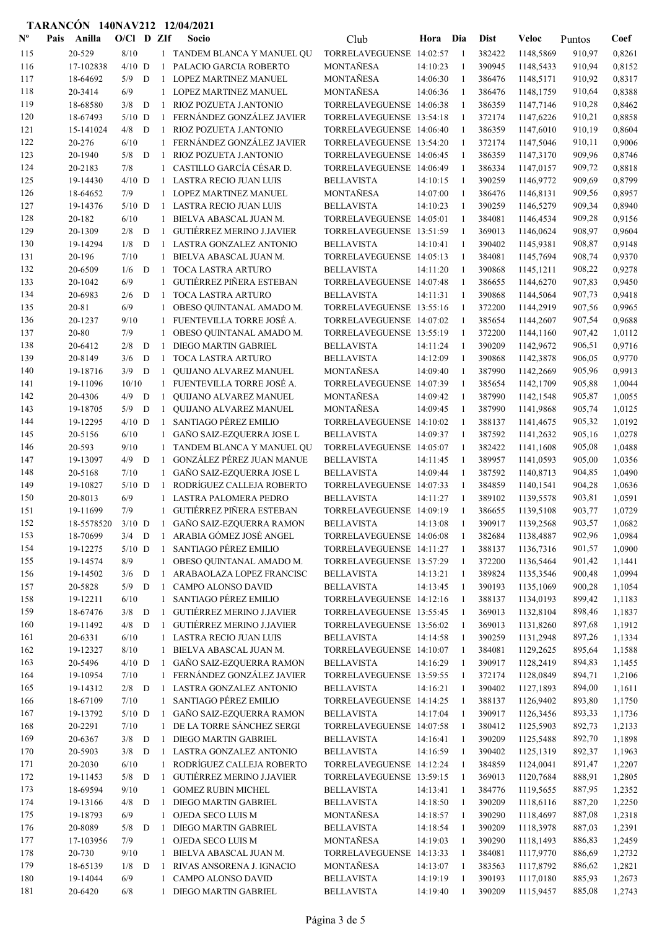| $N^{\text{o}}$ | Pais | Anilla     | $O/CI$ D ZIf |             |              | Socio                            | Club                     | Hora     | Dia            | <b>Dist</b> | Veloc     | Puntos | Coef   |
|----------------|------|------------|--------------|-------------|--------------|----------------------------------|--------------------------|----------|----------------|-------------|-----------|--------|--------|
| 115            |      | 20-529     | 8/10         |             |              | 1 TANDEM BLANCA Y MANUEL QU      | TORRELAVEGUENSE 14:02:57 |          | $\overline{1}$ | 382422      | 1148,5869 | 910,97 | 0,8261 |
| 116            |      | 17-102838  | $4/10$ D     |             | $\mathbf{1}$ | PALACIO GARCIA ROBERTO           | MONTAÑESA                | 14:10:23 | $\mathbf{1}$   | 390945      | 1148,5433 | 910,94 | 0,8152 |
| 117            |      | 18-64692   | 5/9          | D           | $\mathbf{1}$ | LOPEZ MARTINEZ MANUEL            | MONTAÑESA                | 14:06:30 | $\overline{1}$ | 386476      | 1148,5171 | 910,92 | 0,8317 |
| 118            |      | 20-3414    | 6/9          |             | $\mathbf{1}$ | LOPEZ MARTINEZ MANUEL            | MONTAÑESA                | 14:06:36 | -1             | 386476      | 1148,1759 | 910,64 | 0,8388 |
| 119            |      | 18-68580   | 3/8          | D           | $\mathbf{1}$ | RIOZ POZUETA J.ANTONIO           | TORRELAVEGUENSE 14:06:38 |          | $\overline{1}$ | 386359      | 1147,7146 | 910,28 | 0,8462 |
| 120            |      | 18-67493   | $5/10$ D     |             | $\mathbf{1}$ | FERNÁNDEZ GONZÁLEZ JAVIER        | TORRELAVEGUENSE 13:54:18 |          | $\mathbf{1}$   | 372174      | 1147,6226 | 910,21 | 0,8858 |
| 121            |      | 15-141024  | 4/8          | D           | -1           | RIOZ POZUETA J.ANTONIO           | TORRELAVEGUENSE 14:06:40 |          | $\mathbf{1}$   | 386359      | 1147,6010 | 910,19 | 0,8604 |
| 122            |      | 20-276     | 6/10         |             | 1            | FERNÁNDEZ GONZÁLEZ JAVIER        | TORRELAVEGUENSE 13:54:20 |          | $\mathbf{1}$   | 372174      | 1147,5046 | 910,11 | 0,9006 |
| 123            |      | 20-1940    | 5/8          | D           | $\mathbf{1}$ | RIOZ POZUETA J.ANTONIO           | TORRELAVEGUENSE 14:06:45 |          | 1              | 386359      | 1147,3170 | 909,96 | 0,8746 |
| 124            |      | 20-2183    | 7/8          |             | 1            | CASTILLO GARCÍA CÉSAR D.         | TORRELAVEGUENSE 14:06:49 |          | 1              | 386334      | 1147,0157 | 909,72 | 0,8818 |
| 125            |      | 19-14430   | $4/10$ D     |             | 1            | <b>LASTRA RECIO JUAN LUIS</b>    | <b>BELLAVISTA</b>        | 14:10:15 | 1              | 390259      | 1146,9772 | 909,69 | 0,8799 |
| 126            |      | 18-64652   | 7/9          |             | $\mathbf{1}$ | LOPEZ MARTINEZ MANUEL            | MONTAÑESA                | 14:07:00 | $\mathbf{1}$   | 386476      | 1146,8131 | 909,56 | 0,8957 |
| 127            |      | 19-14376   | $5/10$ D     |             | $\mathbf{1}$ | LASTRA RECIO JUAN LUIS           | <b>BELLAVISTA</b>        | 14:10:23 | $\mathbf{1}$   | 390259      | 1146,5279 | 909,34 | 0,8940 |
| 128            |      | 20-182     | 6/10         |             | $\mathbf{1}$ | BIELVA ABASCAL JUAN M.           | TORRELAVEGUENSE 14:05:01 |          | $\mathbf{1}$   | 384081      | 1146,4534 | 909,28 | 0,9156 |
| 129            |      | 20-1309    | 2/8          | D           | $\mathbf{1}$ | GUTIÉRREZ MERINO J.JAVIER        | TORRELAVEGUENSE 13:51:59 |          | $\mathbf{1}$   | 369013      | 1146,0624 | 908,97 | 0,9604 |
| 130            |      | 19-14294   | 1/8          | D           | 1            | LASTRA GONZALEZ ANTONIO          | <b>BELLAVISTA</b>        | 14:10:41 | -1             | 390402      | 1145,9381 | 908,87 | 0,9148 |
| 131            |      | 20-196     | 7/10         |             | 1            | BIELVA ABASCAL JUAN M.           | TORRELAVEGUENSE 14:05:13 |          | -1             | 384081      | 1145,7694 | 908,74 | 0,9370 |
| 132            |      | 20-6509    | 1/6          | D           | -1           | TOCA LASTRA ARTURO               | <b>BELLAVISTA</b>        | 14:11:20 | $\mathbf{1}$   | 390868      | 1145,1211 | 908,22 | 0,9278 |
| 133            |      | 20-1042    | 6/9          |             | $\mathbf{1}$ | GUTIÉRREZ PIÑERA ESTEBAN         | TORRELAVEGUENSE 14:07:48 |          | $\mathbf{1}$   | 386655      | 1144,6270 | 907,83 | 0,9450 |
| 134            |      | 20-6983    | 2/6          | D           | -1           | <b>TOCA LASTRA ARTURO</b>        | <b>BELLAVISTA</b>        | 14:11:31 | -1             | 390868      | 1144,5064 | 907,73 | 0,9418 |
| 135            |      | $20 - 81$  | 6/9          |             | 1            | OBESO QUINTANAL AMADO M.         | TORRELAVEGUENSE 13:55:16 |          | 1              | 372200      | 1144,2919 | 907,56 | 0,9965 |
| 136            |      | 20-1237    | 9/10         |             | 1            | FUENTEVILLA TORRE JOSÉ A.        | TORRELAVEGUENSE 14:07:02 |          | 1              | 385654      | 1144,2607 | 907,54 | 0,9688 |
| 137            |      | 20-80      | 7/9          |             | $\mathbf{1}$ | OBESO QUINTANAL AMADO M.         | TORRELAVEGUENSE 13:55:19 |          | 1              | 372200      | 1144,1160 | 907,42 | 1,0112 |
| 138            |      | 20-6412    | 2/8          | D           | $\mathbf{1}$ | DIEGO MARTIN GABRIEL             | <b>BELLAVISTA</b>        | 14:11:24 | $\mathbf{1}$   | 390209      | 1142,9672 | 906,51 | 0,9716 |
| 139            |      | 20-8149    | 3/6          | D           | $\mathbf{1}$ | <b>TOCA LASTRA ARTURO</b>        | <b>BELLAVISTA</b>        | 14:12:09 | -1             | 390868      | 1142,3878 | 906,05 | 0,9770 |
| 140            |      | 19-18716   | 3/9          | D           | -1           | QUIJANO ALVAREZ MANUEL           | MONTAÑESA                | 14:09:40 | $\mathbf{1}$   | 387990      | 1142,2669 | 905,96 | 0.9913 |
| 141            |      | 19-11096   | 10/10        |             | $\mathbf{1}$ | FUENTEVILLA TORRE JOSÉ A.        | TORRELAVEGUENSE 14:07:39 |          | $\mathbf{1}$   | 385654      | 1142,1709 | 905,88 | 1,0044 |
| 142            |      | 20-4306    | 4/9          | D           | $\mathbf{1}$ | QUIJANO ALVAREZ MANUEL           | MONTAÑESA                | 14:09:42 | $\overline{1}$ | 387990      | 1142,1548 | 905,87 | 1,0055 |
| 143            |      | 19-18705   | 5/9          | D           | -1           | QUIJANO ALVAREZ MANUEL           | MONTAÑESA                | 14:09:45 | -1             | 387990      | 1141,9868 | 905,74 | 1,0125 |
| 144            |      | 19-12295   | $4/10$ D     |             | 1            | SANTIAGO PÉREZ EMILIO            | TORRELAVEGUENSE 14:10:02 |          | $\mathbf{1}$   | 388137      | 1141,4675 | 905,32 | 1,0192 |
| 145            |      | 20-5156    | 6/10         |             | $\mathbf{1}$ | GAÑO SAIZ-EZQUERRA JOSE L        | <b>BELLAVISTA</b>        | 14:09:37 | $\mathbf{1}$   | 387592      | 1141,2632 | 905,16 | 1,0278 |
| 146            |      | 20-593     | 9/10         |             | 1            | TANDEM BLANCA Y MANUEL QU        | TORRELAVEGUENSE 14:05:07 |          | -1             | 382422      | 1141,1608 | 905,08 | 1,0488 |
| 147            |      | 19-13097   | 4/9          | D           | -1           | GONZÁLEZ PÉREZ JUAN MANUE        | <b>BELLAVISTA</b>        | 14:11:45 | 1              | 389957      | 1141,0593 | 905,00 | 1,0356 |
| 148            |      | 20-5168    | 7/10         |             | 1            | GAÑO SAIZ-EZQUERRA JOSE L        | <b>BELLAVISTA</b>        | 14:09:44 | 1              | 387592      | 1140,8713 | 904,85 | 1,0490 |
| 149            |      | 19-10827   | $5/10$ D     |             | -1           | RODRÍGUEZ CALLEJA ROBERTO        | TORRELAVEGUENSE 14:07:33 |          | 1              | 384859      | 1140,1541 | 904,28 | 1,0636 |
| 150            |      | 20-8013    | 6/9          |             | $\mathbf{1}$ | LASTRA PALOMERA PEDRO            | <b>BELLAVISTA</b>        | 14:11:27 | 1              | 389102      | 1139,5578 | 903,81 | 1,0591 |
| 151            |      | 19-11699   | 7/9          |             | $\mathbf{1}$ | GUTIÉRREZ PIÑERA ESTEBAN         | TORRELAVEGUENSE 14:09:19 |          | $\mathbf{1}$   | 386655      | 1139,5108 | 903,77 | 1,0729 |
| 152            |      | 18-5578520 | $3/10$ D     |             | $\mathbf{1}$ | GAÑO SAIZ-EZQUERRA RAMON         | <b>BELLAVISTA</b>        | 14:13:08 |                | 390917      | 1139,2568 | 903,57 | 1,0682 |
| 153            |      | 18-70699   | 3/4          | D           |              | 1 ARABIA GÓMEZ JOSÉ ANGEL        | TORRELAVEGUENSE 14:06:08 |          |                | 382684      | 1138,4887 | 902,96 | 1,0984 |
| 154            |      | 19-12275   | $5/10$ D     |             | 1            | SANTIAGO PÉREZ EMILIO            | TORRELAVEGUENSE 14:11:27 |          | -1             | 388137      | 1136,7316 | 901,57 | 1,0900 |
| 155            |      | 19-14574   | 8/9          |             | 1            | OBESO QUINTANAL AMADO M.         | TORRELAVEGUENSE 13:57:29 |          | -1             | 372200      | 1136,5464 | 901,42 | 1,1441 |
| 156            |      | 19-14502   | 3/6          | D           | 1            | ARABAOLAZA LOPEZ FRANCISC        | <b>BELLAVISTA</b>        | 14:13:21 | $\mathbf{1}$   | 389824      | 1135,3546 | 900,48 | 1,0994 |
| 157            |      | 20-5828    | 5/9          | D           | -1           | CAMPO ALONSO DAVID               | <b>BELLAVISTA</b>        | 14:13:45 | -1             | 390193      | 1135,1069 | 900,28 | 1,1054 |
| 158            |      | 19-12211   | 6/10         |             | $\mathbf{1}$ | SANTIAGO PÉREZ EMILIO            | TORRELAVEGUENSE 14:12:16 |          | $\mathbf{1}$   | 388137      | 1134,0193 | 899,42 | 1,1183 |
| 159            |      | 18-67476   | 3/8          | D           | $\mathbf{1}$ | GUTIÉRREZ MERINO J.JAVIER        | TORRELAVEGUENSE 13:55:45 |          | -1             | 369013      | 1132,8104 | 898,46 | 1,1837 |
| 160            |      | 19-11492   | 4/8          | D           | $\mathbf{1}$ | <b>GUTIÉRREZ MERINO J.JAVIER</b> | TORRELAVEGUENSE 13:56:02 |          | 1              | 369013      | 1131,8260 | 897,68 | 1,1912 |
| 161            |      | 20-6331    | $6/10$       |             |              | 1 LASTRA RECIO JUAN LUIS         | <b>BELLAVISTA</b>        | 14:14:58 | 1              | 390259      | 1131,2948 | 897,26 | 1,1334 |
| 162            |      | 19-12327   | $8/10$       |             | $\mathbf{1}$ | BIELVA ABASCAL JUAN M.           | TORRELAVEGUENSE 14:10:07 |          | $\mathbf{1}$   | 384081      | 1129,2625 | 895,64 | 1,1588 |
| 163            |      | 20-5496    | $4/10$ D     |             | -1           | <b>GAÑO SAIZ-EZQUERRA RAMON</b>  | <b>BELLAVISTA</b>        | 14:16:29 | 1              | 390917      | 1128,2419 | 894,83 | 1,1455 |
| 164            |      | 19-10954   | 7/10         |             |              | 1 FERNÁNDEZ GONZÁLEZ JAVIER      | TORRELAVEGUENSE 13:59:55 |          | 1              | 372174      | 1128,0849 | 894,71 | 1,2106 |
| 165            |      | 19-14312   | $2/8$ D      |             | -1           | LASTRA GONZALEZ ANTONIO          | <b>BELLAVISTA</b>        | 14:16:21 | $\mathbf{1}$   | 390402      | 1127,1893 | 894,00 | 1,1611 |
| 166            |      | 18-67109   | 7/10         |             | $\mathbf{1}$ | SANTIAGO PÉREZ EMILIO            | TORRELAVEGUENSE 14:14:25 |          | $\mathbf{1}$   | 388137      | 1126,9402 | 893,80 | 1,1750 |
| 167            |      | 19-13792   | $5/10$ D     |             | $\mathbf{1}$ | GAÑO SAIZ-EZQUERRA RAMON         | <b>BELLAVISTA</b>        | 14:17:04 | -1             | 390917      | 1126,3456 | 893,33 | 1,1736 |
| 168            |      | 20-2291    | 7/10         |             | $\mathbf{1}$ | DE LA TORRE SÁNCHEZ SERGI        | TORRELAVEGUENSE 14:07:58 |          | -1             | 380412      | 1125,5903 | 892,73 | 1,2133 |
| 169            |      | 20-6367    | 3/8          | D           | 1            | DIEGO MARTIN GABRIEL             | <b>BELLAVISTA</b>        | 14:16:41 | $\mathbf{1}$   | 390209      | 1125,5488 | 892,70 | 1,1898 |
| 170            |      | 20-5903    | 3/8          | D           | $\mathbf{1}$ | LASTRA GONZALEZ ANTONIO          | <b>BELLAVISTA</b>        | 14:16:59 | 1              | 390402      | 1125,1319 | 892,37 | 1,1963 |
| 171            |      | 20-2030    | 6/10         |             | $\mathbf{1}$ | RODRÍGUEZ CALLEJA ROBERTO        | TORRELAVEGUENSE 14:12:24 |          | -1             | 384859      | 1124,0041 | 891,47 | 1,2207 |
| 172            |      | 19-11453   | $5/8$ D      |             | 1            | GUTIÉRREZ MERINO J.JAVIER        | TORRELAVEGUENSE 13:59:15 |          | -1             | 369013      | 1120,7684 | 888,91 | 1,2805 |
| 173            |      | 18-69594   | 9/10         |             | $\mathbf{1}$ | <b>GOMEZ RUBIN MICHEL</b>        | <b>BELLAVISTA</b>        | 14:13:41 | 1              | 384776      | 1119,5655 | 887,95 | 1,2352 |
| 174            |      | 19-13166   | 4/8          | D           | -1           | DIEGO MARTIN GABRIEL             | <b>BELLAVISTA</b>        | 14:18:50 | $\mathbf{1}$   | 390209      | 1118,6116 | 887,20 | 1,2250 |
| 175            |      | 19-18793   | 6/9          |             | 1            | OJEDA SECO LUIS M                | MONTAÑESA                | 14:18:57 | -1             | 390290      | 1118,4697 | 887,08 | 1,2318 |
| 176            |      | 20-8089    | 5/8          | $\mathbf D$ | -1           | DIEGO MARTIN GABRIEL             | <b>BELLAVISTA</b>        | 14:18:54 | -1             | 390209      | 1118,3978 | 887,03 | 1,2391 |
| 177            |      | 17-103956  | 7/9          |             | 1            | OJEDA SECO LUIS M                | MONTAÑESA                | 14:19:03 | $\overline{1}$ | 390290      | 1118,1493 | 886,83 | 1,2459 |
| 178            |      | 20-730     | 9/10         |             | 1            | BIELVA ABASCAL JUAN M.           | TORRELAVEGUENSE 14:13:33 |          | $\mathbf{1}$   | 384081      | 1117,9770 | 886,69 | 1,2732 |
| 179            |      | 18-65139   | 1/8          | D           | -1           | RIVAS ANSORENA J. IGNACIO        | MONTAÑESA                | 14:13:07 | $\mathbf{1}$   | 383563      | 1117,8792 | 886,62 | 1,2821 |
| 180            |      | 19-14044   | 6/9          |             | $\mathbf{1}$ | CAMPO ALONSO DAVID               | <b>BELLAVISTA</b>        | 14:19:19 | $\mathbf{1}$   | 390193      | 1117,0180 | 885,93 | 1,2673 |
| 181            |      | 20-6420    | $6/8$        |             | $\mathbf{1}$ | DIEGO MARTIN GABRIEL             | <b>BELLAVISTA</b>        | 14:19:40 | 1              | 390209      | 1115,9457 | 885,08 | 1,2743 |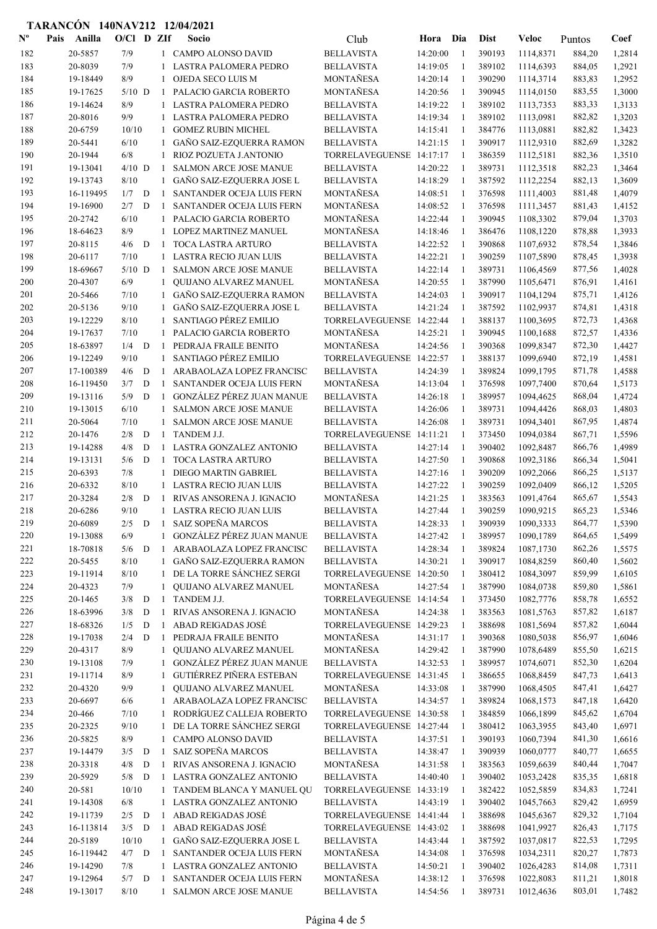| $\mathbf{N}^{\mathbf{o}}$ | Pais | Anilla               | $O/C1$ D ZIf    |           |                              | Socio                                           | Club                                         | Hora                 | Dia            | <b>Dist</b>      | Veloc                  | Puntos           | Coef             |
|---------------------------|------|----------------------|-----------------|-----------|------------------------------|-------------------------------------------------|----------------------------------------------|----------------------|----------------|------------------|------------------------|------------------|------------------|
| 182                       |      | 20-5857              | 7/9             |           |                              | 1 CAMPO ALONSO DAVID                            | <b>BELLAVISTA</b>                            | 14:20:00             | $\mathbf{1}$   | 390193           | 1114,8371              | 884,20           | 1,2814           |
| 183                       |      | 20-8039              | 7/9             |           |                              | LASTRA PALOMERA PEDRO                           | <b>BELLAVISTA</b>                            | 14:19:05             | -1             | 389102           | 1114,6393              | 884,05           | 1,2921           |
| 184                       |      | 19-18449             | 8/9             |           | $\mathbf{1}$                 | OJEDA SECO LUIS M                               | MONTAÑESA                                    | 14:20:14             | $\overline{1}$ | 390290           | 1114,3714              | 883,83           | 1,2952           |
| 185                       |      | 19-17625             | $5/10$ D        |           | 1                            | PALACIO GARCIA ROBERTO                          | MONTAÑESA                                    | 14:20:56             | -1             | 390945           | 1114,0150              | 883,55           | 1,3000           |
| 186                       |      | 19-14624             | 8/9             |           | 1                            | LASTRA PALOMERA PEDRO                           | <b>BELLAVISTA</b>                            | 14:19:22             | -1             | 389102           | 1113,7353              | 883,33           | 1,3133           |
| 187                       |      | 20-8016              | 9/9             |           | 1                            | LASTRA PALOMERA PEDRO                           | <b>BELLAVISTA</b>                            | 14:19:34             | -1             | 389102           | 1113,0981              | 882,82           | 1,3203           |
| 188                       |      | 20-6759              | 10/10           |           | 1                            | <b>GOMEZ RUBIN MICHEL</b>                       | <b>BELLAVISTA</b>                            | 14:15:41             | -1             | 384776           | 1113,0881              | 882,82           | 1,3423           |
| 189                       |      | 20-5441              | 6/10            |           | 1                            | GAÑO SAIZ-EZQUERRA RAMON                        | <b>BELLAVISTA</b>                            | 14:21:15             | -1             | 390917           | 1112,9310              | 882,69           | 1,3282           |
| 190                       |      | 20-1944              | $6/8$           |           | 1                            | RIOZ POZUETA J.ANTONIO                          | TORRELAVEGUENSE 14:17:17                     |                      | 1              | 386359           | 1112,5181              | 882,36           | 1,3510           |
| 191                       |      | 19-13041             | $4/10$ D        |           | -1                           | <b>SALMON ARCE JOSE MANUE</b>                   | <b>BELLAVISTA</b>                            | 14:20:22             | -1             | 389731           | 1112,3518              | 882,23           | 1,3464           |
| 192                       |      | 19-13743             | 8/10            |           | $\mathbf{1}$                 | GAÑO SAIZ-EZQUERRA JOSE L                       | <b>BELLAVISTA</b>                            | 14:18:29             | -1             | 387592           | 1112,2254              | 882,13           | 1,3609           |
| 193                       |      | 16-119495            | $1/7$ D         |           | $\mathbf{1}$                 | SANTANDER OCEJA LUIS FERN                       | MONTAÑESA                                    | 14:08:51             | 1              | 376598           | 1111,4003              | 881,48           | 1,4079           |
| 194                       |      | 19-16900             | 2/7             | D         | $\mathbf{1}$                 | SANTANDER OCEJA LUIS FERN                       | MONTAÑESA                                    | 14:08:52             | -1             | 376598           | 1111,3457              | 881,43           | 1,4152           |
| 195                       |      | 20-2742              | 6/10            |           | 1                            | PALACIO GARCIA ROBERTO                          | MONTAÑESA                                    | 14:22:44             | -1             | 390945           | 1108,3302              | 879,04           | 1,3703           |
| 196                       |      | 18-64623             | 8/9             |           | 1                            | LOPEZ MARTINEZ MANUEL                           | MONTAÑESA                                    | 14:18:46             | $\mathbf{1}$   | 386476           | 1108,1220              | 878,88           | 1,3933           |
| 197                       |      | 20-8115              | 4/6             | D         | -1                           | <b>TOCA LASTRA ARTURO</b>                       | <b>BELLAVISTA</b>                            | 14:22:52             | -1             | 390868           | 1107,6932              | 878,54           | 1,3846           |
| 198                       |      | 20-6117              | 7/10            |           | 1                            | LASTRA RECIO JUAN LUIS                          | <b>BELLAVISTA</b>                            | 14:22:21             | -1             | 390259           | 1107,5890              | 878,45           | 1,3938           |
| 199                       |      | 18-69667             | $5/10$ D        |           | 1                            | <b>SALMON ARCE JOSE MANUE</b>                   | <b>BELLAVISTA</b>                            | 14:22:14             | $\mathbf{1}$   | 389731           | 1106,4569              | 877,56           | 1,4028           |
| 200                       |      | 20-4307              | 6/9             |           | $\mathbf{1}$                 | QUIJANO ALVAREZ MANUEL                          | MONTAÑESA                                    | 14:20:55             | $\mathbf{1}$   | 387990           | 1105,6471              | 876,91           | 1,4161           |
| 201                       |      | 20-5466              | 7/10            |           | $\mathbf{1}$                 | <b>GAÑO SAIZ-EZQUERRA RAMON</b>                 | <b>BELLAVISTA</b>                            | 14:24:03             | $\mathbf{1}$   | 390917           | 1104.1294              | 875,71           | 1,4126           |
| 202                       |      | 20-5136              | 9/10            |           | 1                            | GAÑO SAIZ-EZQUERRA JOSE L                       | <b>BELLAVISTA</b>                            | 14:21:24             | $\mathbf{1}$   | 387592           | 1102,9937              | 874,81           | 1,4318           |
| 203<br>204                |      | 19-12229<br>19-17637 | 8/10            |           | 1                            | <b>SANTIAGO PÉREZ EMILIO</b>                    | TORRELAVEGUENSE 14:22:44<br><b>MONTAÑESA</b> |                      | 1              | 388137           | 1100,3695              | 872,73           | 1,4368           |
| 205                       |      | 18-63897             | 7/10<br>$1/4$ D |           | $\mathbf{1}$<br>$\mathbf{1}$ | PALACIO GARCIA ROBERTO<br>PEDRAJA FRAILE BENITO | <b>MONTAÑESA</b>                             | 14:25:21<br>14:24:56 | 1<br>-1        | 390945<br>390368 | 1100,1688<br>1099,8347 | 872,57<br>872,30 | 1,4336<br>1,4427 |
| 206                       |      | 19-12249             | 9/10            |           | $\mathbf{1}$                 | <b>SANTIAGO PÉREZ EMILIO</b>                    | TORRELAVEGUENSE 14:22:57                     |                      | -1             | 388137           | 1099,6940              | 872,19           | 1,4581           |
| 207                       |      | 17-100389            | 4/6             | D         | $\mathbf{1}$                 | ARABAOLAZA LOPEZ FRANCISC                       | <b>BELLAVISTA</b>                            | 14:24:39             | -1             | 389824           | 1099,1795              | 871,78           | 1,4588           |
| 208                       |      | 16-119450            | 3/7             | D         | $\mathbf{1}$                 | SANTANDER OCEJA LUIS FERN                       | MONTAÑESA                                    | 14:13:04             | -1             | 376598           | 1097,7400              | 870,64           | 1,5173           |
| 209                       |      | 19-13116             | 5/9             | D         | $\mathbf{1}$                 | GONZÁLEZ PÉREZ JUAN MANUE                       | <b>BELLAVISTA</b>                            | 14:26:18             | -1             | 389957           | 1094,4625              | 868,04           | 1,4724           |
| 210                       |      | 19-13015             | 6/10            |           | 1                            | <b>SALMON ARCE JOSE MANUE</b>                   | <b>BELLAVISTA</b>                            | 14:26:06             | -1             | 389731           | 1094,4426              | 868,03           | 1,4803           |
| 211                       |      | 20-5064              | 7/10            |           | 1                            | SALMON ARCE JOSE MANUE                          | <b>BELLAVISTA</b>                            | 14:26:08             | -1             | 389731           | 1094,3401              | 867,95           | 1,4874           |
| 212                       |      | 20-1476              | 2/8             | D         | 1                            | TANDEM J.J.                                     | TORRELAVEGUENSE 14:11:21                     |                      | -1             | 373450           | 1094,0384              | 867,71           | 1,5596           |
| 213                       |      | 19-14288             | 4/8             | D         | 1                            | LASTRA GONZALEZ ANTONIO                         | <b>BELLAVISTA</b>                            | 14:27:14             | $\mathbf{1}$   | 390402           | 1092,8487              | 866,76           | 1,4989           |
| 214                       |      | 19-13131             | 5/6             | D         | 1                            | TOCA LASTRA ARTURO                              | <b>BELLAVISTA</b>                            | 14:27:50             | $\mathbf{1}$   | 390868           | 1092,3186              | 866,34           | 1,5041           |
| 215                       |      | 20-6393              | 7/8             |           | 1                            | DIEGO MARTIN GABRIEL                            | <b>BELLAVISTA</b>                            | 14:27:16             | -1             | 390209           | 1092,2066              | 866,25           | 1,5137           |
| 216                       |      | 20-6332              | 8/10            |           | 1                            | <b>LASTRA RECIO JUAN LUIS</b>                   | <b>BELLAVISTA</b>                            | 14:27:22             | -1             | 390259           | 1092,0409              | 866,12           | 1,5205           |
| 217                       |      | 20-3284              | $2/8$ D         |           | -1                           | RIVAS ANSORENA J. IGNACIO                       | MONTAÑESA                                    | 14:21:25             | -1             | 383563           | 1091,4764              | 865,67           | 1,5543           |
| 218                       |      | 20-6286              | 9/10            |           | $\mathbf{1}$                 | LASTRA RECIO JUAN LUIS                          | <b>BELLAVISTA</b>                            | 14:27:44             | -1             | 390259           | 1090,9215              | 865,23           | 1,5346           |
| 219                       |      | 20-6089              | 2/5             | D         | $\mathbf{1}$                 | SAIZ SOPEÑA MARCOS                              | <b>BELLAVISTA</b>                            | 14:28:33             | $\mathbf{1}$   | 390939           | 1090,3333              | 864,77           | 1,5390           |
| 220                       |      | 19-13088             | $6/9$           |           | $\mathbf{1}$                 | GONZÁLEZ PÉREZ JUAN MANUE                       | <b>BELLAVISTA</b>                            | 14:27:42             | $\mathbf{1}$   | 389957           | 1090,1789              | 864,65           | 1,5499           |
| 221                       |      | 18-70818             | 5/6             | D         | -1                           | ARABAOLAZA LOPEZ FRANCISC                       | <b>BELLAVISTA</b>                            | 14:28:34             | 1              | 389824           | 1087,1730              | 862,26           | 1,5575           |
| 222                       |      | 20-5455              | $8/10$          |           | $\mathbf{1}$                 | GAÑO SAIZ-EZQUERRA RAMON                        | <b>BELLAVISTA</b>                            | 14:30:21             | -1             | 390917           | 1084,8259              | 860,40           | 1,5602           |
| 223                       |      | 19-11914             | 8/10            |           | $\mathbf{1}$                 | DE LA TORRE SÁNCHEZ SERGI                       | TORRELAVEGUENSE 14:20:50                     |                      | -1             | 380412           | 1084,3097              | 859,99           | 1,6105           |
| 224                       |      | 20-4323              | 7/9             |           | $\mathbf{1}$                 | QUIJANO ALVAREZ MANUEL                          | MONTAÑESA                                    | 14:27:54             | -1             | 387990           | 1084,0738              | 859,80           | 1,5861           |
| 225                       |      | 20-1465              | 3/8             | D         | 1                            | TANDEM J.J.                                     | TORRELAVEGUENSE 14:14:54                     |                      | -1             | 373450           | 1082,7776              | 858,78           | 1,6552           |
| 226                       |      | 18-63996             | $3/8$           | ${\bf D}$ | -1                           | RIVAS ANSORENA J. IGNACIO                       | MONTAÑESA                                    | 14:24:38             | -1             | 383563           | 1081,5763              | 857,82           | 1,6187           |
| 227                       |      | 18-68326             | 1/5             | ${\bf D}$ | 1                            | ABAD REIGADAS JOSÉ                              | TORRELAVEGUENSE 14:29:23                     |                      | 1              | 388698           | 1081,5694              | 857,82           | 1,6044           |
| 228                       |      | 19-17038             | 2/4             | D         | 1                            | PEDRAJA FRAILE BENITO                           | MONTAÑESA                                    | 14:31:17             | -1             | 390368           | 1080,5038              | 856,97           | 1,6046           |
| 229                       |      | 20-4317              | $8/9$           |           | 1                            | QUIJANO ALVAREZ MANUEL                          | MONTAÑESA                                    | 14:29:42             | -1             | 387990           | 1078,6489              | 855,50           | 1,6215           |
| 230                       |      | 19-13108             | 7/9             |           | $\mathbf{1}$                 | GONZÁLEZ PÉREZ JUAN MANUE                       | <b>BELLAVISTA</b>                            | 14:32:53             | -1             | 389957           | 1074,6071              | 852,30           | 1,6204           |
| 231                       |      | 19-11714             | 8/9             |           | $\mathbf{1}$                 | GUTIÉRREZ PIÑERA ESTEBAN                        | TORRELAVEGUENSE 14:31:45                     |                      | 1              | 386655           | 1068,8459              | 847,73           | 1,6413           |
| 232                       |      | 20-4320              | 9/9             |           | 1                            | QUIJANO ALVAREZ MANUEL                          | MONTAÑESA                                    | 14:33:08             | $\mathbf{1}$   | 387990           | 1068,4505              | 847,41           | 1,6427           |
| 233                       |      | 20-6697              | 6/6             |           | 1                            | ARABAOLAZA LOPEZ FRANCISC                       | <b>BELLAVISTA</b>                            | 14:34:57             | -1             | 389824           | 1068,1573              | 847,18           | 1,6420           |
| 234                       |      | 20-466               | 7/10            |           | 1                            | RODRÍGUEZ CALLEJA ROBERTO                       | TORRELAVEGUENSE 14:30:58                     |                      | -1             | 384859           | 1066,1899              | 845,62           | 1,6704           |
| 235                       |      | 20-2325              | 9/10            |           | $\mathbf{1}$                 | DE LA TORRE SÁNCHEZ SERGI                       | TORRELAVEGUENSE 14:27:44                     |                      | -1             | 380412           | 1063,3955              | 843,40           | 1,6971           |
| 236                       |      | 20-5825              | 8/9             |           | $\mathbf{1}$                 | CAMPO ALONSO DAVID                              | <b>BELLAVISTA</b>                            | 14:37:51             | $\mathbf{1}$   | 390193           | 1060,7394              | 841,30           | 1,6616           |
| 237                       |      | 19-14479             | 3/5             | D         | 1                            | SAIZ SOPEÑA MARCOS                              | <b>BELLAVISTA</b>                            | 14:38:47             | -1             | 390939           | 1060,0777              | 840,77           | 1,6655           |
| 238                       |      | 20-3318              | $4/8$           | ${\bf D}$ | 1                            | RIVAS ANSORENA J. IGNACIO                       | MONTAÑESA                                    | 14:31:58             | -1             | 383563           | 1059,6639              | 840,44           | 1,7047           |
| 239                       |      | 20-5929              | 5/8             | D         | 1                            | LASTRA GONZALEZ ANTONIO                         | <b>BELLAVISTA</b>                            | 14:40:40             | 1              | 390402           | 1053,2428              | 835,35           | 1,6818           |
| 240                       |      | 20-581               | 10/10           |           |                              | 1 TANDEM BLANCA Y MANUEL QU                     | TORRELAVEGUENSE 14:33:19                     |                      | 1              | 382422           | 1052,5859              | 834,83           | 1,7241           |
| 241                       |      | 19-14308             | $6/8$           |           | $\mathbf{1}$                 | LASTRA GONZALEZ ANTONIO                         | <b>BELLAVISTA</b>                            | 14:43:19             | -1             | 390402           | 1045,7663              | 829,42           | 1,6959           |
| 242                       |      | 19-11739             | $2/5$ D         |           | 1                            | <b>ABAD REIGADAS JOSÉ</b>                       | TORRELAVEGUENSE 14:41:44                     |                      | 1              | 388698           | 1045,6367              | 829,32           | 1,7104           |
| 243                       |      | 16-113814            | $3/5$ D         |           | 1                            | ABAD REIGADAS JOSÉ                              | TORRELAVEGUENSE 14:43:02                     |                      | $\mathbf{1}$   | 388698           | 1041,9927              | 826,43           | 1,7175           |
| 244                       |      | 20-5189              | 10/10           |           | $\mathbf{1}$                 | GAÑO SAIZ-EZQUERRA JOSE L                       | <b>BELLAVISTA</b>                            | 14:43:44             | $\mathbf{1}$   | 387592           | 1037,0817              | 822,53           | 1,7295           |
| 245                       |      | 16-119442            | $4/7$ D         |           | -1                           | SANTANDER OCEJA LUIS FERN                       | MONTAÑESA                                    | 14:34:08             | $\mathbf{1}$   | 376598           | 1034,2311              | 820,27           | 1,7873           |
| 246                       |      | 19-14290             | 7/8             |           | $\mathbf{1}$                 | LASTRA GONZALEZ ANTONIO                         | <b>BELLAVISTA</b>                            | 14:50:21             | -1             | 390402           | 1026,4283              | 814,08           | 1,7311           |
| 247                       |      | 19-12964             | $5/7$ D         |           | 1                            | SANTANDER OCEJA LUIS FERN                       | MONTAÑESA                                    | 14:38:12             | -1             | 376598           | 1022,8083              | 811,21           | 1,8018           |
| 248                       |      | 19-13017             | 8/10            |           | $\mathbf{1}$                 | <b>SALMON ARCE JOSE MANUE</b>                   | <b>BELLAVISTA</b>                            | 14:54:56             | -1             | 389731           | 1012,4636              | 803,01           | 1,7482           |